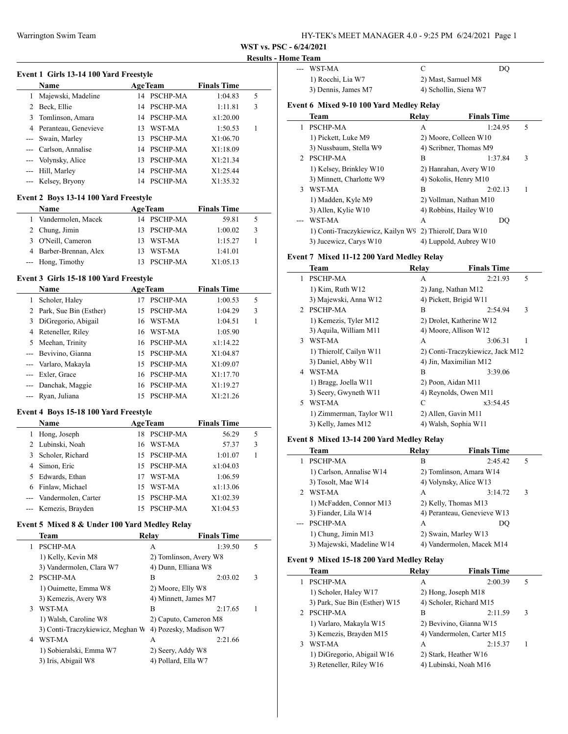|               | Event 1 Girls 13-14 100 Yard Freestyle |    |                 |                    |   |
|---------------|----------------------------------------|----|-----------------|--------------------|---|
|               | <b>Name</b>                            |    | <b>AgeTeam</b>  | <b>Finals Time</b> |   |
| 1             | Majewski, Madeline                     | 14 | PSCHP-MA        | 1:04.83            | 5 |
| $\mathcal{L}$ | Beck, Ellie                            | 14 | PSCHP-MA        | 1:11.81            | 3 |
| 3             | Tomlinson, Amara                       | 14 | PSCHP-MA        | x1:20.00           |   |
| 4             | Peranteau, Genevieve                   |    | 13 WST-MA       | 1:50.53            | 1 |
|               | Swain, Marley                          | 13 | PSCHP-MA        | X1:06.70           |   |
|               | Carlson, Annalise                      |    | 14 PSCHP-MA     | X1:18.09           |   |
|               | Volynsky, Alice                        | 13 | <b>PSCHP-MA</b> | X1:21.34           |   |
| ---           | Hill, Marley                           |    | 14 PSCHP-MA     | X1:25.44           |   |
|               | Kelsey, Bryony                         | 14 | PSCHP-MA        | X1:35.32           |   |
|               | Event 2 Boys 13-14 100 Yard Freestyle  |    |                 |                    |   |
|               | Name                                   |    | <b>AgeTeam</b>  | <b>Finals Time</b> |   |
|               | Vandermolen, Macek                     | 14 | <b>PSCHP-MA</b> | 59.81              | 5 |

| 2 Chung, Jimin         | 13 PSCHP-MA | 1:00.02  | -3 |  |
|------------------------|-------------|----------|----|--|
| 3 O'Neill, Cameron     | 13 WST-MA   | 1:15.27  |    |  |
| 4 Barber-Brennan, Alex | 13 WST-MA   | 1:41.01  |    |  |
| --- Hong, Timothy      | 13 PSCHP-MA | X1:05.13 |    |  |

## **Event 3 Girls 15-18 100 Yard Freestyle**

|   | <b>Name</b>              |     | <b>AgeTeam</b>  | <b>Finals Time</b> |   |
|---|--------------------------|-----|-----------------|--------------------|---|
| 1 | Scholer, Haley           |     | <b>PSCHP-MA</b> | 1:00.53            | 5 |
|   | 2 Park, Sue Bin (Esther) |     | 15 PSCHP-MA     | 1:04.29            | 3 |
|   | 3 DiGregorio, Abigail    | 16  | WST-MA          | 1:04.51            | 1 |
| 4 | Reteneller, Riley        |     | 16 WST-MA       | 1:05.90            |   |
|   | 5 Meehan, Trinity        |     | 16 PSCHP-MA     | x1:14.22           |   |
|   | --- Bevivino, Gianna     | 15  | <b>PSCHP-MA</b> | X1:04.87           |   |
|   | --- Varlaro, Makayla     | 15. | <b>PSCHP-MA</b> | X1:09.07           |   |
|   | --- Exler, Grace         |     | 16 PSCHP-MA     | X1:17.70           |   |
|   | --- Danchak, Maggie      |     | 16 PSCHP-MA     | X1:19.27           |   |
|   | --- Ryan, Juliana        | 15  | <b>PSCHP-MA</b> | X1:21.26           |   |

#### **Event 4 Boys 15-18 100 Yard Freestyle**

 $\overline{a}$ 

|    | <b>Name</b>             |    | <b>AgeTeam</b>  | <b>Finals Time</b> |   |  |
|----|-------------------------|----|-----------------|--------------------|---|--|
|    | Hong, Joseph            |    | 18 PSCHP-MA     | 56.29              | 5 |  |
|    | 2 Lubinski, Noah        | 16 | WST-MA          | 57.37              | 3 |  |
| 3  | Scholer, Richard        |    | 15 PSCHP-MA     | 1:01.07            |   |  |
| 4  | Simon, Eric             |    | 15 PSCHP-MA     | x1:04.03           |   |  |
| 5. | Edwards, Ethan          | 17 | WST-MA          | 1:06.59            |   |  |
| 6. | Finlaw, Michael         | 15 | WST-MA          | x1:13.06           |   |  |
|    | --- Vandermolen, Carter |    | 15 PSCHP-MA     | X1:02.39           |   |  |
|    | --- Kemezis, Brayden    |    | <b>PSCHP-MA</b> | X1:04.53           |   |  |

# **Event 5 Mixed 8 & Under 100 Yard Medley Relay**

|                             | Team                             | Relav                  | <b>Finals Time</b> |   |
|-----------------------------|----------------------------------|------------------------|--------------------|---|
| 1                           | PSCHP-MA                         | А                      | 1:39.50            | 5 |
|                             | 1) Kelly, Kevin M8               | 2) Tomlinson, Avery W8 |                    |   |
|                             | 3) Vandermolen, Clara W7         | 4) Dunn, Elliana W8    |                    |   |
| $\mathcal{D}_{\mathcal{L}}$ | PSCHP-MA                         | B                      | 2:03.02            | 3 |
|                             | 1) Ouimette, Emma W8             | 2) Moore, Elly W8      |                    |   |
|                             | 3) Kemezis, Avery W8             | 4) Minnett, James M7   |                    |   |
| 3                           | WST-MA                           | B                      | 2:17.65            |   |
|                             | 1) Walsh, Caroline W8            | 2) Caputo, Cameron M8  |                    |   |
|                             | 3) Conti-Traczykiewicz, Meghan W | 4) Pozesky, Madison W7 |                    |   |
| 4                           | WST-MA                           | A                      | 2:21.66            |   |
|                             | 1) Sobieralski, Emma W7          | 2) Seery, Addy W8      |                    |   |
|                             | 3) Iris, Abigail W8              | 4) Pollard, Ella W7    |                    |   |
|                             |                                  |                        |                    |   |

# Warrington Swim Team HY-TEK's MEET MANAGER 4.0 - 9:25 PM 6/24/2021 Page 1

**WST vs. PSC - 6/24/2021**

### **Results - Home Team**

|              | WST-MA                                                   | C                      | DO                 |   |
|--------------|----------------------------------------------------------|------------------------|--------------------|---|
|              | 1) Rocchi, Lia W7                                        | 2) Mast, Samuel M8     |                    |   |
|              | 3) Dennis, James M7                                      | 4) Schollin, Siena W7  |                    |   |
|              | Event 6 Mixed 9-10 100 Yard Medley Relay                 |                        |                    |   |
|              | Team                                                     | Relay                  | <b>Finals Time</b> |   |
| 1            | <b>PSCHP-MA</b>                                          | А                      | 1:24.95            | 5 |
|              | 1) Pickett, Luke M9                                      | 2) Moore, Colleen W10  |                    |   |
|              | 3) Nussbaum, Stella W9                                   | 4) Scribner, Thomas M9 |                    |   |
| $2^{\circ}$  | <b>PSCHP-MA</b>                                          | B                      | 1:37.84            | 3 |
|              | 1) Kelsey, Brinkley W10                                  | 2) Hanrahan, Avery W10 |                    |   |
|              | 3) Minnett, Charlotte W9                                 | 4) Sokolis, Henry M10  |                    |   |
| $\mathbf{3}$ | WST-MA                                                   | B                      | 2:02.13            | 1 |
|              | 1) Madden, Kyle M9                                       | 2) Vollman, Nathan M10 |                    |   |
|              | 3) Allen, Kylie W10                                      | 4) Robbins, Hailey W10 |                    |   |
|              | WST-MA                                                   | A                      | DO                 |   |
|              | 1) Conti-Traczykiewicz, Kailyn W9                        | 2) Thierolf, Dara W10  |                    |   |
|              | 3) Jucewicz, Carys W10                                   | 4) Luppold, Aubrey W10 |                    |   |
|              | Event 7 Mixed 11-12 200 Yard Medley Relay<br><b>CONT</b> |                        | rane.              |   |

|               | Team                     | Relay               | <b>Finals Time</b>               |  |
|---------------|--------------------------|---------------------|----------------------------------|--|
| 1             | <b>PSCHP-MA</b>          | А                   | 5<br>2:21.93                     |  |
|               | $1)$ Kim, Ruth W $12$    | 2) Jang, Nathan M12 |                                  |  |
|               | 3) Majewski, Anna W12    |                     | 4) Pickett, Brigid W11           |  |
| $\mathcal{D}$ | <b>PSCHP-MA</b>          | B                   | 3<br>2:54.94                     |  |
|               | 1) Kemezis, Tyler M12    |                     | 2) Drolet, Katherine W12         |  |
|               | 3) Aquila, William M11   |                     | 4) Moore, Allison W12            |  |
| 3             | WST-MA                   | А                   | 3:06.31                          |  |
|               | 1) Thierolf, Cailyn W11  |                     | 2) Conti-Traczykiewicz, Jack M12 |  |
|               | 3) Daniel, Abby W11      |                     | 4) Jin, Maximilian M12           |  |
| 4             | WST-MA                   | B                   | 3:39.06                          |  |
|               | 1) Bragg, Joella W11     | 2) Poon, Aidan M11  |                                  |  |
|               | 3) Seery, Gwyneth W11    |                     | 4) Reynolds, Owen M11            |  |
| 5.            | WST-MA                   | C                   | x3:54.45                         |  |
|               | 1) Zimmerman, Taylor W11 | 2) Allen, Gavin M11 |                                  |  |
|               | 3) Kelly, James M12      |                     | 4) Walsh, Sophia W11             |  |

# **Event 8 Mixed 13-14 200 Yard Medley Relay**

|             | Team                      | Relay | <b>Finals Time</b>          |   |
|-------------|---------------------------|-------|-----------------------------|---|
|             | PSCHP-MA                  | B     | 2:45.42                     | 5 |
|             | 1) Carlson, Annalise W14  |       | 2) Tomlinson, Amara W14     |   |
|             | 3) Tosolt, Mae W14        |       | 4) Volynsky, Alice W13      |   |
| $2^{\circ}$ | WST-MA                    | A     | 3:14.72                     | 3 |
|             | 1) McFadden, Connor M13   |       | 2) Kelly, Thomas M13        |   |
|             | 3) Fiander, Lila W14      |       | 4) Peranteau, Genevieve W13 |   |
|             | <b>PSCHP-MA</b>           | А     | DO                          |   |
|             | 1) Chung, Jimin M13       |       | 2) Swain, Marley W13        |   |
|             | 3) Majewski, Madeline W14 |       | 4) Vandermolen, Macek M14   |   |

# **Event 9 Mixed 15-18 200 Yard Medley Relay**

|             | <b>Team</b>                   | Relav | <b>Finals Time</b>         |   |
|-------------|-------------------------------|-------|----------------------------|---|
|             | PSCHP-MA                      | А     | 2:00.39                    | 5 |
|             | 1) Scholer, Haley W17         |       | 2) Hong, Joseph M18        |   |
|             | 3) Park, Sue Bin (Esther) W15 |       | 4) Scholer, Richard M15    |   |
| $2^{\circ}$ | PSCHP-MA                      | в     | 2:11.59                    | 3 |
|             | 1) Varlaro, Makayla W15       |       | 2) Bevivino, Gianna W15    |   |
|             | 3) Kemezis, Brayden M15       |       | 4) Vandermolen, Carter M15 |   |
| 3           | WST-MA                        | А     | 2:15.37                    |   |
|             | 1) DiGregorio, Abigail W16    |       | 2) Stark, Heather W16      |   |
|             | 3) Reteneller, Riley W16      |       | 4) Lubinski, Noah M16      |   |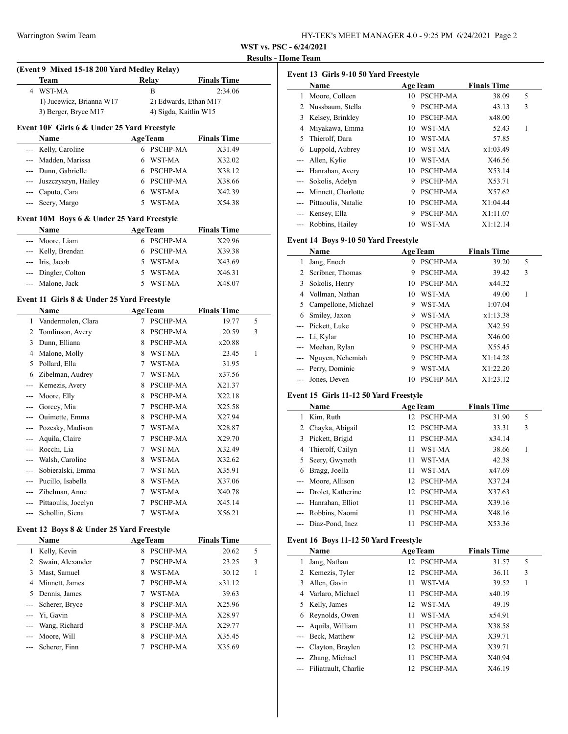| HY-TEK's MEET MANAGER 4.0 - 9:25 PM 6/24/2021 Page 2 |  |  |  |
|------------------------------------------------------|--|--|--|
|                                                      |  |  |  |

**WST vs. PSC - 6/24/2021**

#### **Results - Home Team**

# **(Event 9 Mixed 15-18 200 Yard Medley Relay) Team Relay Finals Time** 4 WST-MA B 2:34.06 1) Jucewicz, Brianna W17 2) Edwards, Ethan M17 3) Berger, Bryce M17 4) Sigda, Kaitlin W15

# **Event 10F Girls 6 & Under 25 Yard Freestyle**

| Name                    | <b>AgeTeam</b>        | <b>Finals Time</b> |
|-------------------------|-----------------------|--------------------|
| --- Kelly, Caroline     | PSCHP-MA<br>6         | X31.49             |
| --- Madden, Marissa     | WST-MA<br>6.          | X32.02             |
| --- Dunn, Gabrielle     | 6 PSCHP-MA            | X38.12             |
| --- Juszczyszyn, Hailey | <b>PSCHP-MA</b><br>6. | X38.66             |
| --- Caputo, Cara        | WST-MA<br>6           | X42.39             |
| --- Seery, Margo        | WST-MA                | X54.38             |

# **Event 10M Boys 6 & Under 25 Yard Freestyle**

| Name                | <b>AgeTeam</b> | <b>Finals Time</b> |  |
|---------------------|----------------|--------------------|--|
| --- Moore, Liam     | 6 PSCHP-MA     | X29.96             |  |
| --- Kelly, Brendan  | 6 PSCHP-MA     | X39.38             |  |
| --- Iris, Jacob     | 5 WST-MA       | X43.69             |  |
| --- Dingler, Colton | WST-MA<br>5.   | X46.31             |  |
| --- Malone, Jack    | WST-MA         | X48.07             |  |

#### **Event 11 Girls 8 & Under 25 Yard Freestyle**

|     | Name                |   | <b>AgeTeam</b>  | <b>Finals Time</b> |   |
|-----|---------------------|---|-----------------|--------------------|---|
| 1   | Vandermolen, Clara  | 7 | <b>PSCHP-MA</b> | 19.77              | 5 |
| 2   | Tomlinson, Avery    | 8 | <b>PSCHP-MA</b> | 20.59              | 3 |
| 3   | Dunn, Elliana       | 8 | <b>PSCHP-MA</b> | x20.88             |   |
| 4   | Malone, Molly       | 8 | WST-MA          | 23.45              | 1 |
| 5   | Pollard, Ella       | 7 | WST-MA          | 31.95              |   |
| 6   | Zibelman, Audrey    | 7 | WST-MA          | x37.56             |   |
|     | Kemezis, Avery      | 8 | <b>PSCHP-MA</b> | X21.37             |   |
|     | Moore, Elly         | 8 | <b>PSCHP-MA</b> | X22.18             |   |
| --- | Gorcey, Mia         | 7 | <b>PSCHP-MA</b> | X25.58             |   |
| --- | Ouimette, Emma      | 8 | <b>PSCHP-MA</b> | X27.94             |   |
|     | Pozesky, Madison    | 7 | WST-MA          | X28.87             |   |
|     | Aquila, Claire      | 7 | <b>PSCHP-MA</b> | X29.70             |   |
|     | Rocchi, Lia         | 7 | WST-MA          | X32.49             |   |
|     | Walsh, Caroline     | 8 | WST-MA          | X32.62             |   |
|     | Sobieralski, Emma   | 7 | WST-MA          | X35.91             |   |
| --- | Pucillo, Isabella   | 8 | WST-MA          | X37.06             |   |
|     | Zibelman, Anne      | 7 | WST-MA          | X40.78             |   |
| --- | Pittaoulis, Jocelyn | 7 | <b>PSCHP-MA</b> | X45.14             |   |
| --- | Schollin, Siena     | 7 | WST-MA          | X56.21             |   |

#### **Event 12 Boys 8 & Under 25 Yard Freestyle**

|    | Name               |    | <b>AgeTeam</b>  | <b>Finals Time</b> |   |  |
|----|--------------------|----|-----------------|--------------------|---|--|
|    | Kelly, Kevin       | 8  | PSCHP-MA        | 20.62              | 5 |  |
|    | 2 Swain, Alexander |    | <b>PSCHP-MA</b> | 23.25              | 3 |  |
| 3  | Mast, Samuel       | 8  | WST-MA          | 30.12              |   |  |
| 4  | Minnett, James     | 7  | <b>PSCHP-MA</b> | x31.12             |   |  |
| 5. | Dennis, James      | 7  | WST-MA          | 39.63              |   |  |
|    | --- Scherer, Bryce | 8  | <b>PSCHP-MA</b> | X25.96             |   |  |
|    | --- Yi, Gavin      | 8. | <b>PSCHP-MA</b> | X28.97             |   |  |
|    | --- Wang, Richard  | 8  | <b>PSCHP-MA</b> | X29.77             |   |  |
|    | --- Moore, Will    | 8  | <b>PSCHP-MA</b> | X35.45             |   |  |
|    | --- Scherer, Finn  |    | <b>PSCHP-MA</b> | X35.69             |   |  |

| Event 13 Girls 9-10 50 Yard Freestyle |                     |    |                 |                    |   |  |  |
|---------------------------------------|---------------------|----|-----------------|--------------------|---|--|--|
|                                       | Name                |    | <b>AgeTeam</b>  | <b>Finals Time</b> |   |  |  |
| 1                                     | Moore, Colleen      | 10 | <b>PSCHP-MA</b> | 38.09              | 5 |  |  |
|                                       | Nussbaum, Stella    | 9  | PSCHP-MA        | 43.13              | 3 |  |  |
| 3                                     | Kelsey, Brinkley    | 10 | PSCHP-MA        | x48.00             |   |  |  |
| 4                                     | Miyakawa, Emma      | 10 | WST-MA          | 52.43              | 1 |  |  |
| 5.                                    | Thierolf, Dara      | 10 | WST-MA          | 57.85              |   |  |  |
| 6                                     | Luppold, Aubrey     | 10 | WST-MA          | x1:03.49           |   |  |  |
|                                       | Allen, Kylie        | 10 | WST-MA          | X46.56             |   |  |  |
| $---$                                 | Hanrahan, Avery     | 10 | PSCHP-MA        | X53.14             |   |  |  |
| $---$                                 | Sokolis, Adelyn     | 9  | PSCHP-MA        | X53.71             |   |  |  |
| $---$                                 | Minnett, Charlotte  | 9  | PSCHP-MA        | X57.62             |   |  |  |
|                                       | Pittaoulis, Natalie | 10 | PSCHP-MA        | X1:04.44           |   |  |  |
| $---$                                 | Kensey, Ella        | 9  | PSCHP-MA        | X1:11.07           |   |  |  |
|                                       | Robbins, Hailey     | 10 | WST-MA          | X1:12.14           |   |  |  |

# **Event 14 Boys 9-10 50 Yard Freestyle**

|   | Name                  |     | <b>AgeTeam</b>  | <b>Finals Time</b> |   |  |
|---|-----------------------|-----|-----------------|--------------------|---|--|
|   | Jang, Enoch           | 9   | PSCHP-MA        | 39.20              | 5 |  |
|   | 2 Scribner, Thomas    | 9   | PSCHP-MA        | 39.42              | 3 |  |
| 3 | Sokolis, Henry        | 10  | PSCHP-MA        | x44.32             |   |  |
| 4 | Vollman, Nathan       | 10. | WST-MA          | 49.00              | 1 |  |
|   | 5 Campellone, Michael | 9   | WST-MA          | 1:07.04            |   |  |
| 6 | Smiley, Jaxon         | 9   | WST-MA          | x1:13.38           |   |  |
|   | --- Pickett, Luke     | 9   | PSCHP-MA        | X42.59             |   |  |
|   | --- Li, Kylar         |     | 10 PSCHP-MA     | X46.00             |   |  |
|   | --- Meehan, Rylan     | 9   | PSCHP-MA        | X55.45             |   |  |
|   | --- Nguyen, Nehemiah  | 9   | PSCHP-MA        | X1:14.28           |   |  |
|   | --- Perry, Dominic    | 9   | WST-MA          | X1:22.20           |   |  |
|   | Jones, Deven          | 10  | <b>PSCHP-MA</b> | X1:23.12           |   |  |

#### **Event 15 Girls 11-12 50 Yard Freestyle**

|       | Name                 |                 | <b>AgeTeam</b> | <b>Finals Time</b> |   |  |
|-------|----------------------|-----------------|----------------|--------------------|---|--|
|       | Kim, Ruth            |                 | 12 PSCHP-MA    | 31.90              | 5 |  |
|       | 2 Chayka, Abigail    | 12.             | PSCHP-MA       | 33.31              | 3 |  |
|       | 3 Pickett, Brigid    | 11              | PSCHP-MA       | x34.14             |   |  |
|       | 4 Thierolf, Cailyn   | 11              | WST-MA         | 38.66              | 1 |  |
|       | 5 Seery, Gwyneth     | 11              | WST-MA         | 42.38              |   |  |
| 6     | Bragg, Joella        | 11              | WST-MA         | x47.69             |   |  |
|       | --- Moore, Allison   | 12.             | PSCHP-MA       | X37.24             |   |  |
|       | Drolet, Katherine    | 12 <sup>2</sup> | PSCHP-MA       | X37.63             |   |  |
|       | --- Hanrahan, Elliot | 11              | PSCHP-MA       | X39.16             |   |  |
|       | Robbins, Naomi       | 11              | PSCHP-MA       | X48.16             |   |  |
| $---$ | Diaz-Pond, Inez      |                 | PSCHP-MA       | X53.36             |   |  |

### **Event 16 Boys 11-12 50 Yard Freestyle**

|   | Name                     |     | <b>AgeTeam</b>  | <b>Finals Time</b> |   |  |
|---|--------------------------|-----|-----------------|--------------------|---|--|
| 1 | Jang, Nathan             |     | 12 PSCHP-MA     | 31.57              | 5 |  |
|   | 2 Kemezis, Tyler         |     | 12 PSCHP-MA     | 36.11              | 3 |  |
|   | 3 Allen, Gavin           | 11  | WST-MA          | 39.52              | 1 |  |
|   | 4 Varlaro, Michael       | 11  | PSCHP-MA        | x40.19             |   |  |
|   | 5 Kelly, James           |     | 12 WST-MA       | 49.19              |   |  |
| 6 | Reynolds, Owen           | 11  | WST-MA          | x54.91             |   |  |
|   | --- Aquila, William      | 11  | PSCHP-MA        | X38.58             |   |  |
|   | --- Beck, Matthew        |     | 12 PSCHP-MA     | X39.71             |   |  |
|   | --- Clayton, Braylen     | 12  | <b>PSCHP-MA</b> | X39.71             |   |  |
|   | --- Zhang, Michael       | 11  | <b>PSCHP-MA</b> | X40.94             |   |  |
|   | --- Filiatrault, Charlie | 12. | <b>PSCHP-MA</b> | X46.19             |   |  |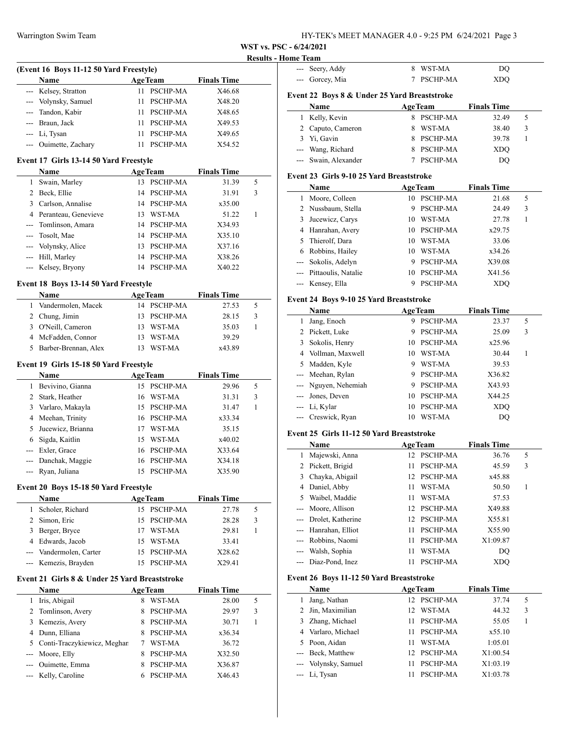--- Seery, Addy 8 WST-MA DQ --- Gorcey, Mia 7 PSCHP-MA XDQ

**WST vs. PSC - 6/24/2021**

#### **Results - Home Team**

| (Event 16 Boys 11-12 50 Yard Freestyle) |    |                 |                    |  |  |  |
|-----------------------------------------|----|-----------------|--------------------|--|--|--|
| <b>Name</b>                             |    | <b>AgeTeam</b>  | <b>Finals Time</b> |  |  |  |
| --- Kelsey, Stratton                    |    | <b>PSCHP-MA</b> | X46.68             |  |  |  |
| --- Volynsky, Samuel                    |    | PSCHP-MA        | X48.20             |  |  |  |
| --- Tandon, Kabir                       | 11 | <b>PSCHP-MA</b> | X48.65             |  |  |  |
| --- Braun, Jack                         |    | PSCHP-MA        | X49.53             |  |  |  |
| --- Li, Tysan                           | 11 | PSCHP-MA        | X49.65             |  |  |  |
| --- Ouimette, Zachary                   |    | PSCHP-MA        | X54.52             |  |  |  |

## **Event 17 Girls 13-14 50 Yard Freestyle**

|   | <b>Name</b>            |    | <b>AgeTeam</b>  | <b>Finals Time</b> |   |
|---|------------------------|----|-----------------|--------------------|---|
| 1 | Swain, Marley          | 13 | PSCHP-MA        | 31.39              | 5 |
| 2 | Beck, Ellie            | 14 | <b>PSCHP-MA</b> | 31.91              | 3 |
| 3 | Carlson, Annalise      | 14 | PSCHP-MA        | x35.00             |   |
|   | 4 Peranteau, Genevieve | 13 | WST-MA          | 51.22              |   |
|   | --- Tomlinson, Amara   | 14 | <b>PSCHP-MA</b> | X34.93             |   |
|   | --- Tosolt, Mae        | 14 | PSCHP-MA        | X35.10             |   |
|   | --- Volynsky, Alice    | 13 | PSCHP-MA        | X37.16             |   |
|   | --- Hill, Marley       | 14 | <b>PSCHP-MA</b> | X38.26             |   |
|   | --- Kelsey, Bryony     | 14 | <b>PSCHP-MA</b> | X40.22             |   |

#### **Event 18 Boys 13-14 50 Yard Freestyle**

|              | Name                 | <b>AgeTeam</b> |             | <b>Finals Time</b> |   |
|--------------|----------------------|----------------|-------------|--------------------|---|
| $\mathbf{1}$ | Vandermolen, Macek   |                | 14 PSCHP-MA | 27.53              | 5 |
|              | 2 Chung, Jimin       |                | 13 PSCHP-MA | 28.15              | 3 |
|              | 3 O'Neill, Cameron   | 13.            | WST-MA      | 35.03              |   |
|              | 4 McFadden, Connor   | 13.            | WST-MA      | 39.29              |   |
| 5.           | Barber-Brennan, Alex |                | WST-MA      | x43.89             |   |

### **Event 19 Girls 15-18 50 Yard Freestyle**

|   | <b>Name</b>         |     | <b>AgeTeam</b>  | <b>Finals Time</b> |   |
|---|---------------------|-----|-----------------|--------------------|---|
| 1 | Bevivino, Gianna    | 15  | <b>PSCHP-MA</b> | 29.96              | 5 |
|   | 2 Stark, Heather    | 16  | WST-MA          | 31.31              | 3 |
|   | 3 Varlaro, Makayla  | 15. | PSCHP-MA        | 31.47              |   |
|   | 4 Meehan, Trinity   |     | 16 PSCHP-MA     | x33.34             |   |
|   | 5 Jucewicz, Brianna | 17  | WST-MA          | 35.15              |   |
|   | 6 Sigda, Kaitlin    | 15  | WST-MA          | x40.02             |   |
|   | --- Exler, Grace    |     | 16 PSCHP-MA     | X33.64             |   |
|   | --- Danchak, Maggie |     | 16 PSCHP-MA     | X34.18             |   |
|   | --- Ryan, Juliana   |     | PSCHP-MA        | X35.90             |   |

#### **Event 20 Boys 15-18 50 Yard Freestyle**

|   | Name                    | <b>AgeTeam</b> |             | <b>Finals Time</b> |   |
|---|-------------------------|----------------|-------------|--------------------|---|
| 1 | Scholer, Richard        |                | 15 PSCHP-MA | 27.78              | 5 |
|   | 2 Simon, Eric           |                | 15 PSCHP-MA | 28.28              | 3 |
|   | 3 Berger, Bryce         |                | WST-MA      | 29.81              |   |
|   | 4 Edwards, Jacob        | 15.            | WST-MA      | 33.41              |   |
|   | --- Vandermolen, Carter |                | 15 PSCHP-MA | X28.62             |   |
|   | --- Kemezis, Brayden    |                | PSCHP-MA    | X29.41             |   |

#### **Event 21 Girls 8 & Under 25 Yard Breaststroke**

|   | Name                          |   | <b>AgeTeam</b>  | <b>Finals Time</b> |   |  |
|---|-------------------------------|---|-----------------|--------------------|---|--|
|   | Iris, Abigail                 | 8 | WST-MA          | 28.00              | 5 |  |
|   | 2 Tomlinson, Avery            |   | <b>PSCHP-MA</b> | 29.97              | 3 |  |
|   | 3 Kemezis, Avery              | 8 | <b>PSCHP-MA</b> | 30.71              |   |  |
| 4 | Dunn, Elliana                 |   | <b>PSCHP-MA</b> | x36.34             |   |  |
|   | 5 Conti-Traczykiewicz, Meghar |   | WST-MA          | 36.72              |   |  |
|   | --- Moore, Elly               |   | <b>PSCHP-MA</b> | X32.50             |   |  |
|   | --- Ouimette, Emma            |   | <b>PSCHP-MA</b> | X36.87             |   |  |
|   | --- Kelly, Caroline           |   | <b>PSCHP-MA</b> | X46.43             |   |  |

|       | Event 22 Boys 8 & Under 25 Yard Breaststroke |    |                 |                    |   |
|-------|----------------------------------------------|----|-----------------|--------------------|---|
|       | Name                                         |    | <b>AgeTeam</b>  | <b>Finals Time</b> |   |
| 1     | Kelly, Kevin                                 | 8  | <b>PSCHP-MA</b> | 32.49              | 5 |
| 2     | Caputo, Cameron                              | 8  | WST-MA          | 38.40              | 3 |
| 3     | Yi, Gavin                                    | 8  | <b>PSCHP-MA</b> | 39.78              | 1 |
| ---   | Wang, Richard                                | 8  | <b>PSCHP-MA</b> | <b>XDO</b>         |   |
|       | --- Swain, Alexander                         | 7  | <b>PSCHP-MA</b> | DO                 |   |
|       | Event 23 Girls 9-10 25 Yard Breaststroke     |    |                 |                    |   |
|       | Name                                         |    | <b>AgeTeam</b>  | <b>Finals Time</b> |   |
| 1     | Moore, Colleen                               | 10 | <b>PSCHP-MA</b> | 21.68              | 5 |
| 2     | Nussbaum, Stella                             | 9  | <b>PSCHP-MA</b> | 24.49              | 3 |
| 3     | Jucewicz, Carys                              | 10 | WST-MA          | 27.78              | 1 |
| 4     | Hanrahan, Avery                              | 10 | <b>PSCHP-MA</b> | x29.75             |   |
| 5     | Thierolf, Dara                               | 10 | WST-MA          | 33.06              |   |
| 6     | Robbins, Hailey                              | 10 | WST-MA          | x34.26             |   |
| ---   | Sokolis, Adelyn                              | 9  | <b>PSCHP-MA</b> | X39.08             |   |
| $---$ | Pittaoulis, Natalie                          | 10 | <b>PSCHP-MA</b> | X41.56             |   |
| ---   | Kensey, Ella                                 | 9  | <b>PSCHP-MA</b> | <b>XDO</b>         |   |

#### **Event 24 Boys 9-10 25 Yard Breaststroke**

| Name                 |    | <b>AgeTeam</b>  | <b>Finals Time</b> |   |
|----------------------|----|-----------------|--------------------|---|
| Jang, Enoch          | 9  | <b>PSCHP-MA</b> | 23.37              | 5 |
| 2 Pickett, Luke      | 9  | PSCHP-MA        | 25.09              | 3 |
| 3 Sokolis, Henry     | 10 | PSCHP-MA        | x25.96             |   |
| 4 Vollman, Maxwell   | 10 | WST-MA          | 30.44              |   |
| 5 Madden, Kyle       | 9  | WST-MA          | 39.53              |   |
| --- Meehan, Rylan    | 9  | <b>PSCHP-MA</b> | X36.82             |   |
| --- Nguyen, Nehemiah | 9  | PSCHP-MA        | X43.93             |   |
| --- Jones, Deven     | 10 | PSCHP-MA        | X44.25             |   |
| --- Li, Kylar        | 10 | PSCHP-MA        | XDO                |   |
| --- Creswick, Ryan   | 10 | WST-MA          | DO                 |   |

## **Event 25 Girls 11-12 50 Yard Breaststroke**

|    | Name                  |     | <b>AgeTeam</b>  | <b>Finals Time</b> |   |  |
|----|-----------------------|-----|-----------------|--------------------|---|--|
|    | Majewski, Anna        |     | 12 PSCHP-MA     | 36.76              | 5 |  |
| 2  | Pickett, Brigid       | 11. | <b>PSCHP-MA</b> | 45.59              | 3 |  |
| 3  | Chayka, Abigail       |     | 12 PSCHP-MA     | x45.88             |   |  |
| 4  | Daniel, Abby          | 11  | WST-MA          | 50.50              | 1 |  |
| 5. | Waibel, Maddie        | 11. | WST-MA          | 57.53              |   |  |
|    | --- Moore, Allison    |     | 12 PSCHP-MA     | X49.88             |   |  |
|    | --- Drolet, Katherine |     | 12 PSCHP-MA     | X55.81             |   |  |
|    | --- Hanrahan, Elliot  | 11  | <b>PSCHP-MA</b> | X55.90             |   |  |
|    | --- Robbins, Naomi    | 11  | PSCHP-MA        | X1:09.87           |   |  |
|    | Walsh, Sophia         | 11  | WST-MA          | DO                 |   |  |
|    | --- Diaz-Pond, Inez   |     | PSCHP-MA        | XDO                |   |  |

#### **Event 26 Boys 11-12 50 Yard Breaststroke**

 $\overline{a}$ 

|    | Name                 |                  | <b>AgeTeam</b>  | <b>Finals Time</b> |   |
|----|----------------------|------------------|-----------------|--------------------|---|
|    | Jang, Nathan         |                  | 12 PSCHP-MA     | 37.74              | 5 |
|    | 2 Jin, Maximilian    | 12 <sup>12</sup> | WST-MA          | 44.32              | 3 |
| 3. | Zhang, Michael       |                  | 11 PSCHP-MA     | 55.05              |   |
|    | 4 Varlaro, Michael   | 11               | PSCHP-MA        | x55.10             |   |
|    | 5 Poon, Aidan        | 11               | WST-MA          | 1:05.01            |   |
|    | --- Beck, Matthew    |                  | 12 PSCHP-MA     | X1:00.54           |   |
|    | --- Volynsky, Samuel | 11               | PSCHP-MA        | X1:03.19           |   |
|    | --- Li, Tysan        |                  | <b>PSCHP-MA</b> | X1:03.78           |   |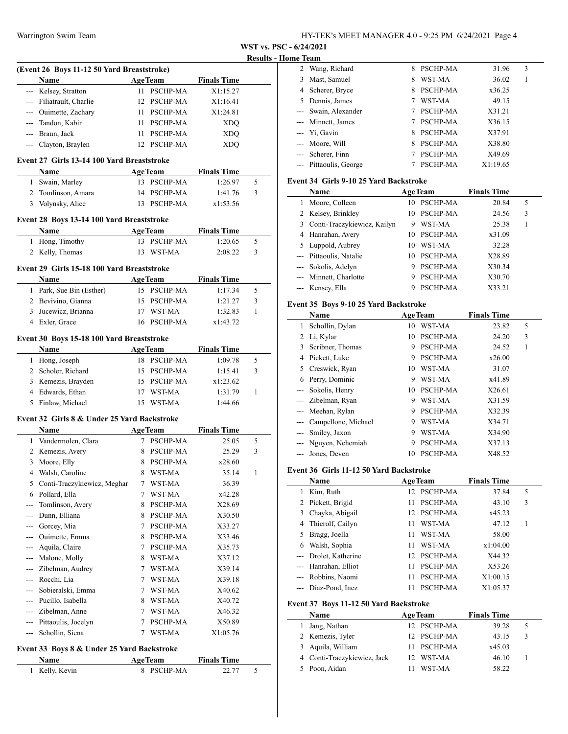**WST vs. PSC - 6/24/2021**

 $\frac{1}{2}$ 

 $\overline{\phantom{a}}$ 

# **Home Team**

|     |                                             |   |                 |                    | <b>Results - I</b> |
|-----|---------------------------------------------|---|-----------------|--------------------|--------------------|
|     | (Event 26 Boys 11-12 50 Yard Breaststroke)  |   |                 |                    |                    |
|     | Name                                        |   | <b>AgeTeam</b>  | <b>Finals Time</b> |                    |
|     | --- Kelsey, Stratton                        |   | 11 PSCHP-MA     | X1:15.27           |                    |
|     | --- Filiatrault, Charlie                    |   | 12 PSCHP-MA     | X1:16.41           |                    |
|     | --- Ouimette, Zachary                       |   | 11 PSCHP-MA     | X1:24.81           |                    |
|     | --- Tandon, Kabir                           |   | 11 PSCHP-MA     | <b>XDQ</b>         |                    |
|     | --- Braun, Jack                             |   | 11 PSCHP-MA     | <b>XDQ</b>         |                    |
|     | --- Clayton, Braylen                        |   | 12 PSCHP-MA     | <b>XDQ</b>         |                    |
|     | Event 27 Girls 13-14 100 Yard Breaststroke  |   |                 |                    |                    |
|     | Name                                        |   | <b>AgeTeam</b>  | <b>Finals Time</b> |                    |
|     | 1 Swain, Marley                             |   | 13 PSCHP-MA     | 1:26.97            | 5                  |
|     | 2 Tomlinson, Amara                          |   | 14 PSCHP-MA     | 1:41.76            | 3                  |
|     | 3 Volynsky, Alice                           |   | 13 PSCHP-MA     | x1:53.56           |                    |
|     | Event 28 Boys 13-14 100 Yard Breaststroke   |   |                 |                    |                    |
|     | Name                                        |   | <b>AgeTeam</b>  | <b>Finals Time</b> |                    |
|     | 1 Hong, Timothy                             |   | 13 PSCHP-MA     | 1:20.65            | 5                  |
|     | 2 Kelly, Thomas                             |   | 13 WST-MA       | 2:08.22            | 3                  |
|     |                                             |   |                 |                    |                    |
|     | Event 29 Girls 15-18 100 Yard Breaststroke  |   |                 |                    |                    |
|     | <b>Name</b>                                 |   | <b>AgeTeam</b>  | <b>Finals Time</b> |                    |
|     | 1 Park, Sue Bin (Esther)                    |   | 15 PSCHP-MA     | 1:17.34            | 5                  |
|     | 2 Bevivino, Gianna                          |   | 15 PSCHP-MA     | 1:21.27            | 3                  |
|     | 3 Jucewicz, Brianna                         |   | 17 WST-MA       | 1:32.83            | 1                  |
|     | 4 Exler, Grace                              |   | 16 PSCHP-MA     | x1:43.72           |                    |
|     | Event 30 Boys 15-18 100 Yard Breaststroke   |   |                 |                    |                    |
|     | Name                                        |   | <b>AgeTeam</b>  | <b>Finals Time</b> |                    |
|     | 1 Hong, Joseph                              |   | 18 PSCHP-MA     | 1:09.78            | 5                  |
|     | 2 Scholer, Richard                          |   | 15 PSCHP-MA     | 1:15.41            | 3                  |
|     | 3 Kemezis, Brayden                          |   | 15 PSCHP-MA     | x1:23.62           |                    |
|     | 4 Edwards, Ethan                            |   | 17 WST-MA       | 1:31.79            | 1                  |
|     | 5 Finlaw, Michael                           |   | 15 WST-MA       | 1:44.66            |                    |
|     |                                             |   |                 |                    |                    |
|     |                                             |   |                 |                    |                    |
|     | Event 32 Girls 8 & Under 25 Yard Backstroke |   |                 |                    |                    |
|     | <b>Name</b>                                 |   | <b>AgeTeam</b>  | <b>Finals Time</b> |                    |
|     | 1 Vandermolen, Clara                        |   | 7 PSCHP-MA      | 25.05              | 5                  |
|     | 2 Kemezis, Avery                            | 8 | <b>PSCHP-MA</b> | 25.29              | 3                  |
|     | 3 Moore, Elly                               |   | 8 PSCHP-MA      | x28.60             |                    |
| 4   | Walsh, Caroline                             | 8 | WST-MA          | 35.14              | 1                  |
| 5   | Conti-Traczykiewicz, Meghar                 | 7 | WST-MA          | 36.39              |                    |
|     | 6 Pollard, Ella                             | 7 | WST-MA          | x42.28             |                    |
| --- | Tomlinson, Avery                            | 8 | PSCHP-MA        | X28.69             |                    |
|     | --- Dunn, Elliana                           | 8 | PSCHP-MA        | X30.50             |                    |
|     | --- Gorcey, Mia                             | 7 | PSCHP-MA        | X33.27             |                    |
|     | --- Ouimette, Emma                          | 8 | PSCHP-MA        | X33.46             |                    |
|     | --- Aquila, Claire                          | 7 | <b>PSCHP-MA</b> | X35.73             |                    |
|     | --- Malone, Molly                           | 8 | WST-MA          | X37.12             |                    |
|     | --- Zibelman, Audrey                        | 7 | WST-MA          | X39.14             |                    |
|     | --- Rocchi, Lia                             | 7 | WST-MA          | X39.18             |                    |
|     | --- Sobieralski, Emma                       | 7 | WST-MA          | X40.62             |                    |
|     | --- Pucillo, Isabella                       | 8 | WST-MA          | X40.72             |                    |
|     | --- Zibelman, Anne                          | 7 | WST-MA          | X46.32             |                    |
|     | --- Pittaoulis, Jocelyn                     | 7 | PSCHP-MA        | X50.89             |                    |
|     | --- Schollin, Siena                         | 7 | WST-MA          | X1:05.76           |                    |

| <b>Name</b>    | <b>AgeTeam</b> | <b>Finals Time</b> |  |
|----------------|----------------|--------------------|--|
| 1 Kelly, Kevin | 8 PSCHP-MA     | 22.77              |  |

| ше теаш |                        |   |                 |          |   |  |
|---------|------------------------|---|-----------------|----------|---|--|
|         | 2 Wang, Richard        | 8 | PSCHP-MA        | 31.96    | 3 |  |
| 3       | Mast, Samuel           | 8 | WST-MA          | 36.02    | 1 |  |
|         | 4 Scherer, Bryce       | 8 | <b>PSCHP-MA</b> | x36.25   |   |  |
|         | 5 Dennis, James        |   | WST-MA          | 49.15    |   |  |
|         | --- Swain, Alexander   |   | <b>PSCHP-MA</b> | X31.21   |   |  |
|         | --- Minnett, James     |   | PSCHP-MA        | X36.15   |   |  |
|         | --- Yi, Gavin          | 8 | <b>PSCHP-MA</b> | X37.91   |   |  |
|         | --- Moore, Will        | 8 | PSCHP-MA        | X38.80   |   |  |
|         | --- Scherer, Finn      |   | PSCHP-MA        | X49.69   |   |  |
|         | --- Pittaoulis, George |   | PSCHP-MA        | X1:19.65 |   |  |

#### **Event 34 Girls 9-10 25 Yard Backstroke**

| Name                          |    | <b>AgeTeam</b>  | <b>Finals Time</b> |   |  |
|-------------------------------|----|-----------------|--------------------|---|--|
| Moore, Colleen                | 10 | PSCHP-MA        | 20.84              | 5 |  |
| 2 Kelsey, Brinkley            | 10 | <b>PSCHP-MA</b> | 24.56              | 3 |  |
| 3 Conti-Traczykiewicz, Kailyn | 9  | WST-MA          | 25.38              |   |  |
| 4 Hanrahan, Avery             | 10 | PSCHP-MA        | x31.09             |   |  |
| 5 Luppold, Aubrey             | 10 | WST-MA          | 32.28              |   |  |
| --- Pittaoulis, Natalie       | 10 | PSCHP-MA        | X28.89             |   |  |
| --- Sokolis, Adelyn           | 9  | PSCHP-MA        | X30.34             |   |  |
| --- Minnett, Charlotte        | 9  | PSCHP-MA        | X30.70             |   |  |
| Kensey, Ella                  |    | PSCHP-MA        | X33.21             |   |  |

# **Event 35 Boys 9-10 25 Yard Backstroke**

|   | Name                 |    | <b>AgeTeam</b>  | <b>Finals Time</b> |   |  |
|---|----------------------|----|-----------------|--------------------|---|--|
|   | Schollin, Dylan      | 10 | WST-MA          | 23.82              | 5 |  |
| 2 | Li, Kylar            |    | 10 PSCHP-MA     | 24.20              | 3 |  |
| 3 | Scribner, Thomas     | 9  | <b>PSCHP-MA</b> | 24.52              | 1 |  |
| 4 | Pickett, Luke        | 9  | PSCHP-MA        | x26.00             |   |  |
| 5 | Creswick, Ryan       | 10 | WST-MA          | 31.07              |   |  |
| 6 | Perry, Dominic       | 9  | WST-MA          | x41.89             |   |  |
|   | Sokolis, Henry       | 10 | <b>PSCHP-MA</b> | X26.61             |   |  |
|   | Zibelman, Ryan       | 9  | WST-MA          | X31.59             |   |  |
|   | Meehan, Rylan        | 9  | PSCHP-MA        | X32.39             |   |  |
|   | Campellone, Michael  | 9  | WST-MA          | X34.71             |   |  |
|   | Smiley, Jaxon        | 9  | WST-MA          | X34.90             |   |  |
|   | --- Nguyen, Nehemiah | 9  | <b>PSCHP-MA</b> | X37.13             |   |  |
|   | --- Jones, Deven     | 10 | <b>PSCHP-MA</b> | X48.52             |   |  |

#### **Event 36 Girls 11-12 50 Yard Backstroke**

|    | Name                  |                 | <b>AgeTeam</b>  | <b>Finals Time</b> |   |
|----|-----------------------|-----------------|-----------------|--------------------|---|
|    | Kim, Ruth             | 12 <sup>2</sup> | PSCHP-MA        | 37.84              | 5 |
|    | 2 Pickett, Brigid     | 11              | PSCHP-MA        | 43.10              | 3 |
|    | 3 Chayka, Abigail     | 12.             | <b>PSCHP-MA</b> | x45.23             |   |
| 4  | Thierolf, Cailyn      | 11              | WST-MA          | 47.12              | 1 |
| 5. | Bragg, Joella         | 11              | WST-MA          | 58.00              |   |
| 6  | Walsh, Sophia         | 11              | WST-MA          | x1:04.00           |   |
|    | --- Drolet, Katherine | 12.             | <b>PSCHP-MA</b> | X44.32             |   |
|    | --- Hanrahan, Elliot  | 11              | PSCHP-MA        | X53.26             |   |
|    | Robbins, Naomi        | 11              | PSCHP-MA        | X1:00.15           |   |
|    | Diaz-Pond, Inez       |                 | PSCHP-MA        | X1:05.37           |   |

# **Event 37 Boys 11-12 50 Yard Backstroke**

| Name                        | <b>AgeTeam</b>  | <b>Finals Time</b> |  |
|-----------------------------|-----------------|--------------------|--|
| 1 Jang, Nathan              | 12 PSCHP-MA     | 39.28              |  |
| 2 Kemezis, Tyler            | 12 PSCHP-MA     | 43.15              |  |
| 3 Aquila, William           | <b>PSCHP-MA</b> | x45.03             |  |
| 4 Conti-Traczykiewicz, Jack | 12 WST-MA       | 46.10              |  |
| 5 Poon, Aidan               | WST-MA          | 58.22              |  |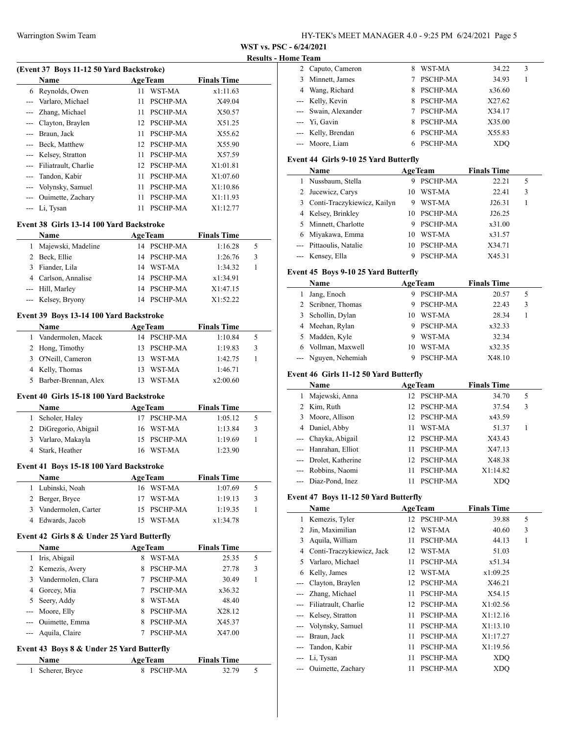**WST vs. PSC - 6/24/2021**

#### **Results - Home Team**

| (Event 37 Boys 11-12 50 Yard Backstroke) |                      |    |                 |                    |  |
|------------------------------------------|----------------------|----|-----------------|--------------------|--|
|                                          | <b>Name</b>          |    | <b>AgeTeam</b>  | <b>Finals Time</b> |  |
| 6                                        | Reynolds, Owen       | 11 | WST-MA          | x1:11.63           |  |
|                                          | Varlaro, Michael     | 11 | PSCHP-MA        | X49.04             |  |
|                                          | Zhang, Michael       | 11 | PSCHP-MA        | X50.57             |  |
|                                          | Clayton, Braylen     | 12 | <b>PSCHP-MA</b> | X51.25             |  |
|                                          | Braun, Jack          | 11 | <b>PSCHP-MA</b> | X55.62             |  |
|                                          | Beck, Matthew        | 12 | <b>PSCHP-MA</b> | X55.90             |  |
|                                          | Kelsey, Stratton     | 11 | PSCHP-MA        | X57.59             |  |
|                                          | Filiatrault, Charlie | 12 | <b>PSCHP-MA</b> | X1:01.81           |  |
|                                          | Tandon, Kabir        | 11 | PSCHP-MA        | X1:07.60           |  |
|                                          | Volynsky, Samuel     | 11 | <b>PSCHP-MA</b> | X1:10.86           |  |
|                                          | Ouimette, Zachary    | 11 | <b>PSCHP-MA</b> | X1:11.93           |  |
|                                          | Li, Tysan            | 11 | PSCHP-MA        | X1:12.77           |  |

# **Event 38 Girls 13-14 100 Yard Backstroke**

|   | <b>Name</b>         |    | <b>AgeTeam</b>  | <b>Finals Time</b> |   |  |
|---|---------------------|----|-----------------|--------------------|---|--|
|   | Majewski, Madeline  |    | 14 PSCHP-MA     | 1:16.28            | 5 |  |
|   | Beck, Ellie         |    | 14 PSCHP-MA     | 1:26.76            | 3 |  |
| 3 | Fiander, Lila       | 14 | WST-MA          | 1:34.32            |   |  |
|   | 4 Carlson, Annalise |    | 14 PSCHP-MA     | x1:34.91           |   |  |
|   | --- Hill, Marley    |    | 14 PSCHP-MA     | X1:47.15           |   |  |
|   | --- Kelsey, Bryony  | 14 | <b>PSCHP-MA</b> | X1:52.22           |   |  |

#### **Event 39 Boys 13-14 100 Yard Backstroke**

| <b>Name</b>     |                        |     | <b>AgeTeam</b> | <b>Finals Time</b> |   |  |
|-----------------|------------------------|-----|----------------|--------------------|---|--|
|                 | 1 Vandermolen, Macek   |     | 14 PSCHP-MA    | 1:10.84            |   |  |
| 2 Hong, Timothy |                        |     | 13 PSCHP-MA    | 1:19.83            | 3 |  |
|                 | 3 O'Neill, Cameron     |     | 13 WST-MA      | 1:42.75            |   |  |
| 4 Kelly, Thomas |                        | 13. | WST-MA         | 1:46.71            |   |  |
|                 | 5 Barber-Brennan, Alex |     | WST-MA         | x2:00.60           |   |  |

#### **Event 40 Girls 15-18 100 Yard Backstroke**

| Name                  | <b>AgeTeam</b> | <b>Finals Time</b> |   |
|-----------------------|----------------|--------------------|---|
| Scholer, Haley        | 17 PSCHP-MA    | 1:05.12            | 5 |
| 2 DiGregorio, Abigail | 16 WST-MA      | 1:13.84            | 3 |
| 3 Varlaro, Makayla    | 15 PSCHP-MA    | 1:19.69            |   |
| 4 Stark, Heather      | 16 WST-MA      | 1:23.90            |   |

#### **Event 41 Boys 15-18 100 Yard Backstroke**

| Name                  | <b>AgeTeam</b> |             | <b>Finals Time</b> |               |
|-----------------------|----------------|-------------|--------------------|---------------|
| 1 Lubinski, Noah      |                | 16 WST-MA   | 1:07.69            | $\mathcal{D}$ |
| 2 Berger, Bryce       |                | 17 WST-MA   | 1:19.13            | 3             |
| 3 Vandermolen, Carter |                | 15 PSCHP-MA | 1:19.35            |               |
| 4 Edwards, Jacob      |                | WST-MA      | x1:34.78           |               |

## **Event 42 Girls 8 & Under 25 Yard Butterfly**

|   | Name               |   | <b>AgeTeam</b>  | <b>Finals Time</b> |   |
|---|--------------------|---|-----------------|--------------------|---|
|   | Iris, Abigail      | 8 | WST-MA          | 25.35              | 5 |
|   | 2 Kemezis, Avery   | 8 | <b>PSCHP-MA</b> | 27.78              | 3 |
| 3 | Vandermolen, Clara |   | <b>PSCHP-MA</b> | 30.49              |   |
| 4 | Gorcey, Mia        |   | <b>PSCHP-MA</b> | x36.32             |   |
|   | 5 Seery, Addy      | 8 | WST-MA          | 48.40              |   |
|   | --- Moore, Elly    | 8 | <b>PSCHP-MA</b> | X28.12             |   |
|   | --- Ouimette, Emma |   | <b>PSCHP-MA</b> | X45.37             |   |
|   | --- Aquila, Claire |   | <b>PSCHP-MA</b> | X47.00             |   |

## **Event 43 Boys 8 & Under 25 Yard Butterfly**

| Name             | <b>AgeTeam</b> | <b>Finals Time</b> |  |
|------------------|----------------|--------------------|--|
| 1 Scherer, Bryce | 8 PSCHP-MA     | 32.79              |  |

| лпе теаш |                      |    |                 |            |   |  |
|----------|----------------------|----|-----------------|------------|---|--|
|          | 2 Caputo, Cameron    | 8  | WST-MA          | 34.22      | 3 |  |
|          | 3 Minnett, James     |    | <b>PSCHP-MA</b> | 34.93      |   |  |
|          | 4 Wang, Richard      | 8. | <b>PSCHP-MA</b> | x36.60     |   |  |
|          | --- Kelly, Kevin     | 8. | <b>PSCHP-MA</b> | X27.62     |   |  |
|          | --- Swain, Alexander |    | <b>PSCHP-MA</b> | X34.17     |   |  |
|          | --- Yi, Gavin        | 8. | <b>PSCHP-MA</b> | X35.00     |   |  |
|          | --- Kelly, Brendan   |    | 6 PSCHP-MA      | X55.83     |   |  |
|          | --- Moore, Liam      |    | PSCHP-MA        | <b>XDO</b> |   |  |

# **Event 44 Girls 9-10 25 Yard Butterfly**

|    | Name                          |    | <b>AgeTeam</b>  | <b>Finals Time</b> |   |
|----|-------------------------------|----|-----------------|--------------------|---|
| 1. | Nussbaum, Stella              | 9  | <b>PSCHP-MA</b> | 22.21              | 5 |
|    | 2 Jucewicz, Carys             | 10 | WST-MA          | 22.41              | 3 |
|    | 3 Conti-Traczykiewicz, Kailyn |    | WST-MA          | J26.31             |   |
|    | 4 Kelsey, Brinkley            | 10 | PSCHP-MA        | J26.25             |   |
|    | 5 Minnett, Charlotte          |    | PSCHP-MA        | x31.00             |   |
|    | 6 Miyakawa, Emma              | 10 | WST-MA          | x31.57             |   |
|    | --- Pittaoulis, Natalie       | 10 | PSCHP-MA        | X34.71             |   |
|    | --- Kensey, Ella              |    | PSCHP-MA        | X45.31             |   |

# **Event 45 Boys 9-10 25 Yard Butterfly**

|   | Name                 |    | <b>AgeTeam</b>  | <b>Finals Time</b> |   |  |
|---|----------------------|----|-----------------|--------------------|---|--|
| L | Jang, Enoch          |    | <b>PSCHP-MA</b> | 20.57              | 5 |  |
|   | 2 Scribner, Thomas   |    | <b>PSCHP-MA</b> | 22.43              | 3 |  |
|   | 3 Schollin, Dylan    | 10 | WST-MA          | 28.34              |   |  |
|   | 4 Meehan, Rylan      | 9  | <b>PSCHP-MA</b> | x32.33             |   |  |
|   | 5 Madden, Kyle       |    | WST-MA          | 32.34              |   |  |
|   | 6 Vollman, Maxwell   | 10 | WST-MA          | x32.35             |   |  |
|   | --- Nguyen, Nehemiah |    | <b>PSCHP-MA</b> | X48.10             |   |  |

## **Event 46 Girls 11-12 50 Yard Butterfly**

| Name                  |                 | <b>AgeTeam</b> | <b>Finals Time</b> |   |
|-----------------------|-----------------|----------------|--------------------|---|
| Majewski, Anna        |                 | 12 PSCHP-MA    | 34.70              | 5 |
| 2 Kim, Ruth           | 12 <sub>1</sub> | PSCHP-MA       | 37.54              | 3 |
| 3 Moore, Allison      |                 | 12 PSCHP-MA    | x43.59             |   |
| 4 Daniel, Abby        | 11              | WST-MA         | 51.37              |   |
| --- Chayka, Abigail   |                 | 12 PSCHP-MA    | X43.43             |   |
| --- Hanrahan, Elliot  | 11              | PSCHP-MA       | X47.13             |   |
| --- Drolet, Katherine | 12              | PSCHP-MA       | X48.38             |   |
| --- Robbins, Naomi    |                 | PSCHP-MA       | X1:14.82           |   |
| --- Diaz-Pond, Inez   |                 | PSCHP-MA       | XDO                |   |

## **Event 47 Boys 11-12 50 Yard Butterfly**

|       | Name                      |    | <b>AgeTeam</b>  | <b>Finals Time</b> |   |
|-------|---------------------------|----|-----------------|--------------------|---|
| 1     | Kemezis, Tyler            | 12 | <b>PSCHP-MA</b> | 39.88              | 5 |
| 2     | Jin, Maximilian           | 12 | WST-MA          | 40.60              | 3 |
| 3     | Aquila, William           | 11 | PSCHP-MA        | 44.13              | 1 |
| 4     | Conti-Traczykiewicz, Jack | 12 | WST-MA          | 51.03              |   |
| 5     | Varlaro, Michael          | 11 | PSCHP-MA        | x51.34             |   |
| 6     | Kelly, James              | 12 | WST-MA          | x1:09.25           |   |
|       | Clayton, Braylen          | 12 | PSCHP-MA        | X46.21             |   |
|       | Zhang, Michael            | 11 | PSCHP-MA        | X54.15             |   |
|       | Filiatrault, Charlie      | 12 | <b>PSCHP-MA</b> | X1:02.56           |   |
| $---$ | Kelsey, Stratton          | 11 | PSCHP-MA        | X1:12.16           |   |
|       | Volynsky, Samuel          | 11 | PSCHP-MA        | X1:13.10           |   |
|       | Braun, Jack               | 11 | PSCHP-MA        | X1:17.27           |   |
|       | Tandon, Kabir             | 11 | PSCHP-MA        | X1:19.56           |   |
|       | Li, Tysan                 | 11 | PSCHP-MA        | XDO                |   |
|       | Ouimette, Zachary         | 11 | PSCHP-MA        | XDO                |   |